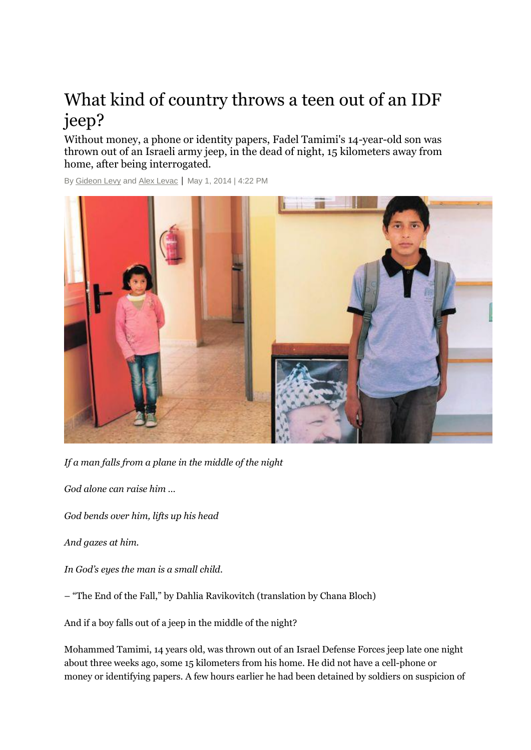## What kind of country throws a teen out of an IDF jeep?

Without money, a phone or identity papers, Fadel Tamimi's 14-year-old son was thrown out of an Israeli army jeep, in the dead of night, 15 kilometers away from home, after being interrogated.

By [Gideon Levy](http://www.haaretz.com/misc/writers/gideon-levy-1.402) and [Alex Levac](http://www.haaretz.com/misc/writers/alex-levac-1.266) | May 1, 2014 | 4:22 PM



*If a man falls from a plane in the middle of the night*

*God alone can raise him …*

*God bends over him, lifts up his head*

*And gazes at him.*

*In God's eyes the man is a small child.*

– "The End of the Fall," by Dahlia Ravikovitch (translation by Chana Bloch)

And if a boy falls out of a jeep in the middle of the night?

Mohammed Tamimi, 14 years old, was thrown out of an Israel Defense Forces jeep late one night about three weeks ago, some 15 kilometers from his home. He did not have a cell-phone or money or identifying papers. A few hours earlier he had been detained by soldiers on suspicion of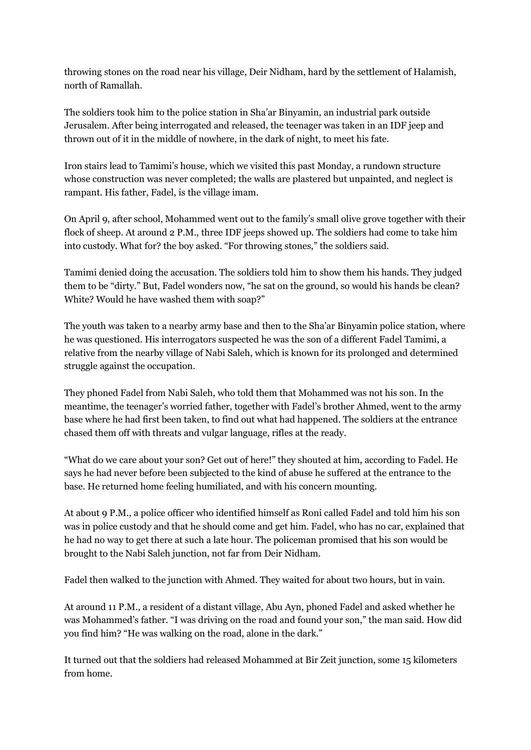throwing stones on the road near his village, Deir Nidham, hard by the settlement of Halamish, north of Ramallah.

The soldiers took him to the police station in Sha'ar Binyamin, an industrial park outside Jerusalem. After being interrogated and released, the teenager was taken in an IDF jeep and thrown out of it in the middle of nowhere, in the dark of night, to meet his fate.

Iron stairs lead to Tamimi's house, which we visited this past Monday, a rundown structure whose construction was never completed; the walls are plastered but unpainted, and neglect is rampant. His father, Fadel, is the village imam.

On April 9, after school, Mohammed went out to the family's small olive grove together with their flock of sheep. At around 2 P.M., three IDF jeeps showed up. The soldiers had come to take him into custody. What for? the boy asked. "For throwing stones," the soldiers said.

Tamimi denied doing the accusation. The soldiers told him to show them his hands. They judged them to be "dirty." But, Fadel wonders now, "he sat on the ground, so would his hands be clean? White? Would he have washed them with soap?"

The youth was taken to a nearby army base and then to the Sha'ar Binyamin police station, where he was questioned. His interrogators suspected he was the son of a different Fadel Tamimi, a relative from the nearby village of Nabi Saleh, which is known for its prolonged and determined struggle against the occupation.

They phoned Fadel from Nabi Saleh, who told them that Mohammed was not his son. In the meantime, the teenager's worried father, together with Fadel's brother Ahmed, went to the army base where he had first been taken, to find out what had happened. The soldiers at the entrance chased them off with threats and vulgar language, rifles at the ready.

"What do we care about your son? Get out of here!" they shouted at him, according to Fadel. He says he had never before been subjected to the kind of abuse he suffered at the entrance to the base. He returned home feeling humiliated, and with his concern mounting.

At about 9 P.M., a police officer who identified himself as Roni called Fadel and told him his son was in police custody and that he should come and get him. Fadel, who has no car, explained that he had no way to get there at such a late hour. The policeman promised that his son would be brought to the Nabi Saleh junction, not far from Deir Nidham.

Fadel then walked to the junction with Ahmed. They waited for about two hours, but in vain.

At around 11 P.M., a resident of a distant village, Abu Ayn, phoned Fadel and asked whether he was Mohammed's father. "I was driving on the road and found your son," the man said. How did you find him? "He was walking on the road, alone in the dark."

It turned out that the soldiers had released Mohammed at Bir Zeit junction, some 15 kilometers from home.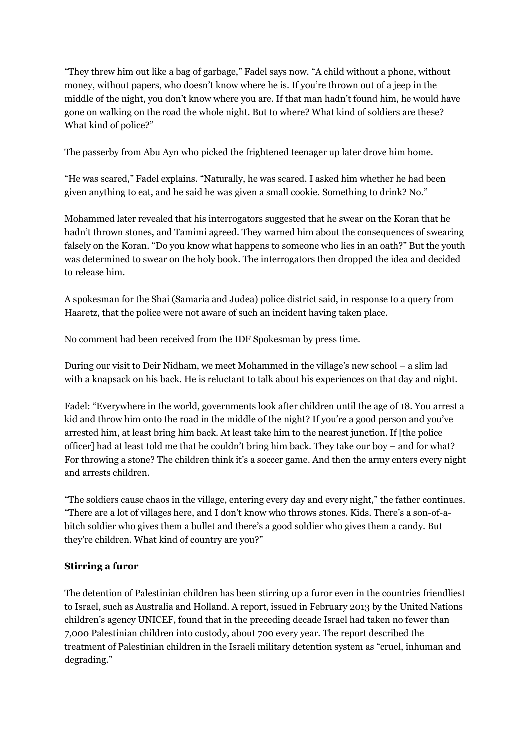"They threw him out like a bag of garbage," Fadel says now. "A child without a phone, without money, without papers, who doesn't know where he is. If you're thrown out of a jeep in the middle of the night, you don't know where you are. If that man hadn't found him, he would have gone on walking on the road the whole night. But to where? What kind of soldiers are these? What kind of police?"

The passerby from Abu Ayn who picked the frightened teenager up later drove him home.

"He was scared," Fadel explains. "Naturally, he was scared. I asked him whether he had been given anything to eat, and he said he was given a small cookie. Something to drink? No."

Mohammed later revealed that his interrogators suggested that he swear on the Koran that he hadn't thrown stones, and Tamimi agreed. They warned him about the consequences of swearing falsely on the Koran. "Do you know what happens to someone who lies in an oath?" But the youth was determined to swear on the holy book. The interrogators then dropped the idea and decided to release him.

A spokesman for the Shai (Samaria and Judea) police district said, in response to a query from Haaretz, that the police were not aware of such an incident having taken place.

No comment had been received from the IDF Spokesman by press time.

During our visit to Deir Nidham, we meet Mohammed in the village's new school – a slim lad with a knapsack on his back. He is reluctant to talk about his experiences on that day and night.

Fadel: "Everywhere in the world, governments look after children until the age of 18. You arrest a kid and throw him onto the road in the middle of the night? If you're a good person and you've arrested him, at least bring him back. At least take him to the nearest junction. If [the police officer] had at least told me that he couldn't bring him back. They take our boy – and for what? For throwing a stone? The children think it's a soccer game. And then the army enters every night and arrests children.

"The soldiers cause chaos in the village, entering every day and every night," the father continues. "There are a lot of villages here, and I don't know who throws stones. Kids. There's a son-of-abitch soldier who gives them a bullet and there's a good soldier who gives them a candy. But they're children. What kind of country are you?"

## **Stirring a furor**

The detention of Palestinian children has been stirring up a furor even in the countries friendliest to Israel, such as Australia and Holland. A report, issued in February 2013 by the United Nations children's agency UNICEF, found that in the preceding decade Israel had taken no fewer than 7,000 Palestinian children into custody, about 700 every year. The report described the treatment of Palestinian children in the Israeli military detention system as "cruel, inhuman and degrading."